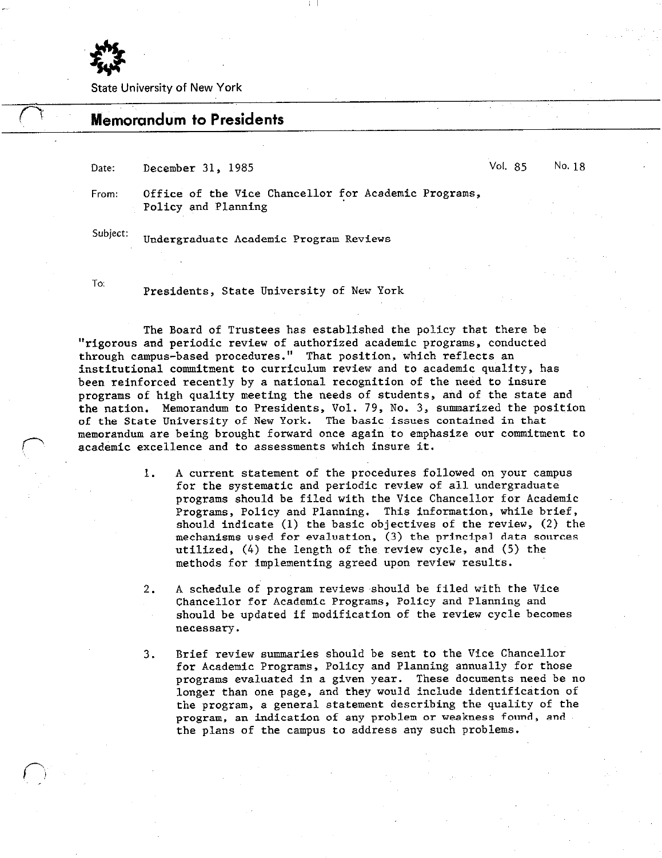

State University of New York

## **Memorandum to Presidents**

Date: December 31, 1985 Vol. 85 No. 18

From: Office of the Vice Chancellor for Academic Programs, Policy and Planning

Subject: Undergraduate Academic Program Reviews

p

To: Presidents, State University of New York

The Board of Trustees has established the policy that there be "rigorous and periodic review of authorized academic programs, conducted through campus-based procedures." That position, which reflects an institutional commitment to curriculum review and to academic quality, has been reinforced recently by a national recognition of the need to insure programs of high quality meeting the needs of students, and of the state and the nation. Memorandum to Presidents, Vol. 79, No. 3, summarized the position of the State University of New York. The basic issues contained in that memorandum are being brought forward once again to emphasize our commitment to academic excellence and to assessments which insure it.

> 1. A current statement of the procedures followed on your campus for the systematic and periodic review of all undergraduate programs should be filed with the Vice Chancellor for Academic Programs, Policy and Planning. This information, while brief, should indicate (1) the basic objectives of the review, (2) the mechanisms used for evaluation, (3) the principal data sources utilized, (4) the length of the review cycle, and (5) the methods for implementing agreed upon review results.

2. A schedule of program reviews .should be filed with the Vice Chancellor for Academic Programs, Policy and Planning and should be updated if modification of the review cycle becomes necessary.

3. Brief review summaries should be sent to the Vice Chancellor for Academic Programs, Policy and Planning annually for those programs evaluated in a given year. These documents need be no longer than one page, and they would include identification of the program, a general statement describing the quality of the program, an indication of any problem or weakness found, and, the plans of the campus to address any such problems.